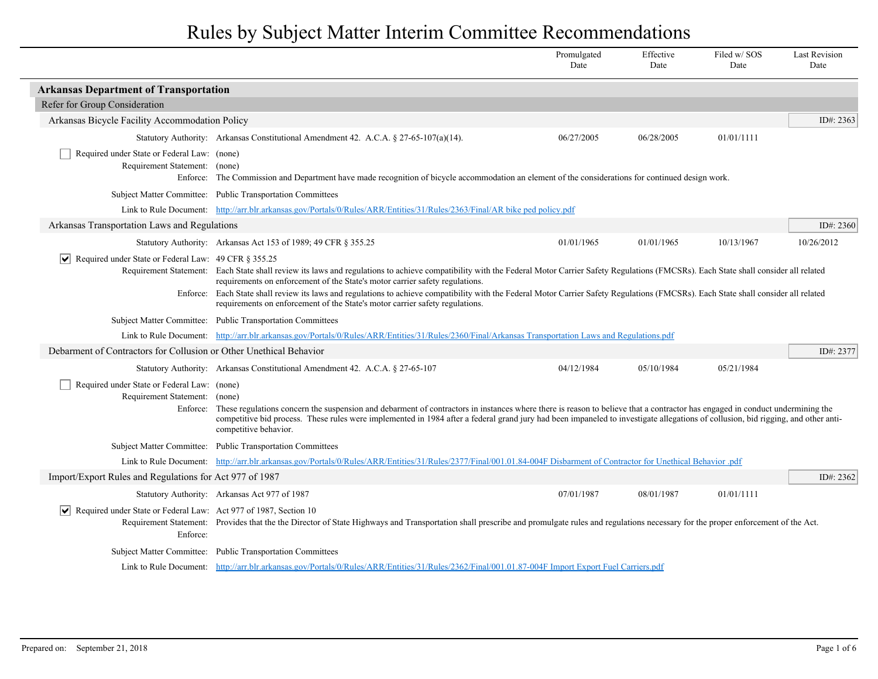|                                                                                          |                                                                                                                                                                                                                                                                                                                                                                                                                                                                                                                                                   | Promulgated<br>Date | Effective<br>Date | Filed w/SOS<br>Date | <b>Last Revision</b><br>Date |  |
|------------------------------------------------------------------------------------------|---------------------------------------------------------------------------------------------------------------------------------------------------------------------------------------------------------------------------------------------------------------------------------------------------------------------------------------------------------------------------------------------------------------------------------------------------------------------------------------------------------------------------------------------------|---------------------|-------------------|---------------------|------------------------------|--|
| <b>Arkansas Department of Transportation</b>                                             |                                                                                                                                                                                                                                                                                                                                                                                                                                                                                                                                                   |                     |                   |                     |                              |  |
| Refer for Group Consideration                                                            |                                                                                                                                                                                                                                                                                                                                                                                                                                                                                                                                                   |                     |                   |                     |                              |  |
| Arkansas Bicycle Facility Accommodation Policy                                           |                                                                                                                                                                                                                                                                                                                                                                                                                                                                                                                                                   |                     |                   |                     | ID#: $2363$                  |  |
|                                                                                          | Statutory Authority: Arkansas Constitutional Amendment 42. A.C.A. § 27-65-107(a)(14).                                                                                                                                                                                                                                                                                                                                                                                                                                                             | 06/27/2005          | 06/28/2005        | 01/01/1111          |                              |  |
| Required under State or Federal Law: (none)<br>Requirement Statement: (none)             | Enforce: The Commission and Department have made recognition of bicycle accommodation an element of the considerations for continued design work.                                                                                                                                                                                                                                                                                                                                                                                                 |                     |                   |                     |                              |  |
|                                                                                          | Subject Matter Committee: Public Transportation Committees                                                                                                                                                                                                                                                                                                                                                                                                                                                                                        |                     |                   |                     |                              |  |
|                                                                                          | Link to Rule Document: http://arr.blr.arkansas.gov/Portals/0/Rules/ARR/Entities/31/Rules/2363/Final/AR bike ped policy.pdf                                                                                                                                                                                                                                                                                                                                                                                                                        |                     |                   |                     |                              |  |
| Arkansas Transportation Laws and Regulations                                             |                                                                                                                                                                                                                                                                                                                                                                                                                                                                                                                                                   |                     |                   |                     | ID#: $2360$                  |  |
|                                                                                          | Statutory Authority: Arkansas Act 153 of 1989; 49 CFR § 355.25                                                                                                                                                                                                                                                                                                                                                                                                                                                                                    | 01/01/1965          | 01/01/1965        | 10/13/1967          | 10/26/2012                   |  |
| Required under State or Federal Law: 49 CFR § 355.25<br>∣V∣<br>Enforce:                  | Requirement Statement: Each State shall review its laws and regulations to achieve compatibility with the Federal Motor Carrier Safety Regulations (FMCSRs). Each State shall consider all related<br>requirements on enforcement of the State's motor carrier safety regulations.<br>Each State shall review its laws and regulations to achieve compatibility with the Federal Motor Carrier Safety Regulations (FMCSRs). Each State shall consider all related<br>requirements on enforcement of the State's motor carrier safety regulations. |                     |                   |                     |                              |  |
|                                                                                          | Subject Matter Committee: Public Transportation Committees                                                                                                                                                                                                                                                                                                                                                                                                                                                                                        |                     |                   |                     |                              |  |
|                                                                                          | Link to Rule Document: http://arr.blr.arkansas.gov/Portals/0/Rules/ARR/Entities/31/Rules/2360/Final/Arkansas Transportation Laws and Regulations.pdf                                                                                                                                                                                                                                                                                                                                                                                              |                     |                   |                     |                              |  |
| Debarment of Contractors for Collusion or Other Unethical Behavior                       |                                                                                                                                                                                                                                                                                                                                                                                                                                                                                                                                                   |                     |                   |                     | ID#: $2377$                  |  |
|                                                                                          | Statutory Authority: Arkansas Constitutional Amendment 42. A.C.A. § 27-65-107                                                                                                                                                                                                                                                                                                                                                                                                                                                                     | 04/12/1984          | 05/10/1984        | 05/21/1984          |                              |  |
| Required under State or Federal Law: (none)<br>Requirement Statement: (none)<br>Enforce: | These regulations concern the suspension and debarment of contractors in instances where there is reason to believe that a contractor has engaged in conduct undermining the<br>competitive bid process. These rules were implemented in 1984 after a federal grand jury had been impaneled to investigate allegations of collusion, bid rigging, and other anti-<br>competitive behavior.                                                                                                                                                        |                     |                   |                     |                              |  |
|                                                                                          | Subject Matter Committee: Public Transportation Committees                                                                                                                                                                                                                                                                                                                                                                                                                                                                                        |                     |                   |                     |                              |  |
|                                                                                          | Link to Rule Document: http://arr.blr.arkansas.gov/Portals/0/Rules/ARR/Entities/31/Rules/2377/Final/001.01.84-004F Disbarment of Contractor for Unethical Behavior .pdf                                                                                                                                                                                                                                                                                                                                                                           |                     |                   |                     |                              |  |
| Import/Export Rules and Regulations for Act 977 of 1987                                  |                                                                                                                                                                                                                                                                                                                                                                                                                                                                                                                                                   |                     |                   |                     | ID#: 2362                    |  |
|                                                                                          | Statutory Authority: Arkansas Act 977 of 1987                                                                                                                                                                                                                                                                                                                                                                                                                                                                                                     | 07/01/1987          | 08/01/1987        | 01/01/1111          |                              |  |
| Required under State or Federal Law: Act 977 of 1987, Section 10<br>∣V∣<br>Enforce:      | Requirement Statement: Provides that the the Director of State Highways and Transportation shall prescribe and promulgate rules and regulations necessary for the proper enforcement of the Act.                                                                                                                                                                                                                                                                                                                                                  |                     |                   |                     |                              |  |
|                                                                                          | Subject Matter Committee: Public Transportation Committees                                                                                                                                                                                                                                                                                                                                                                                                                                                                                        |                     |                   |                     |                              |  |
|                                                                                          | Link to Rule Document: http://arr.blr.arkansas.gov/Portals/0/Rules/ARR/Entities/31/Rules/2362/Final/001.01.87-004F Import Export Fuel Carriers.pdf                                                                                                                                                                                                                                                                                                                                                                                                |                     |                   |                     |                              |  |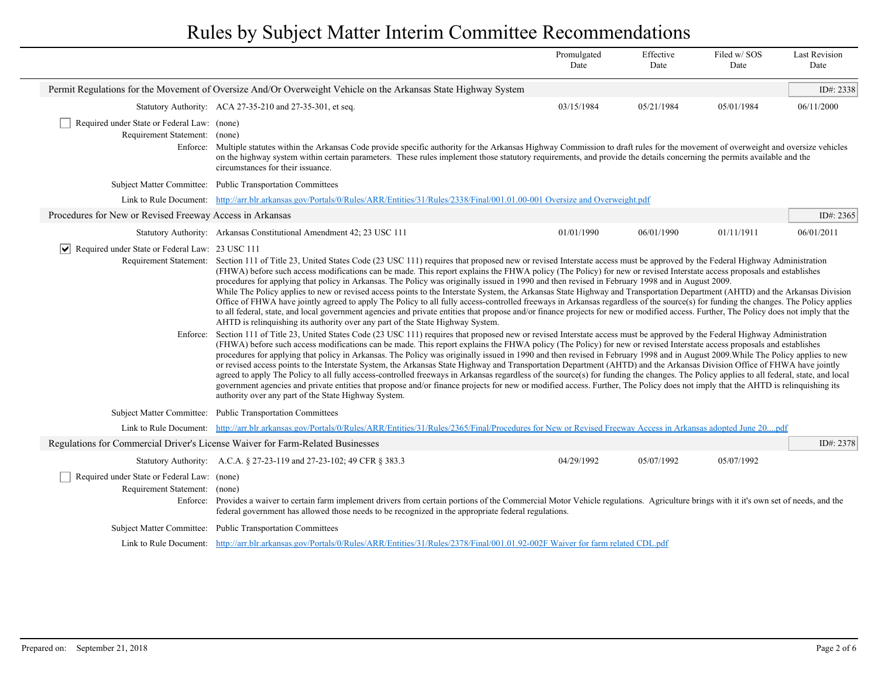|                                                                              |                                                                                                                                                                                                                                                                                                                                                                                                                                                                                                                                                                                                                                                                                                                                                                                                                                                                                                                                                                                                                                                                                                                                                                                                                                                                                                                                                                                                                                                                                                                                                                                                                                                                                                                                                                                                                                                                                                                                                                                                                                                                                                                                                                                                                                                                                                                                                | Promulgated<br>Date | Effective<br>Date | Filed w/SOS<br>Date | <b>Last Revision</b><br>Date |  |
|------------------------------------------------------------------------------|------------------------------------------------------------------------------------------------------------------------------------------------------------------------------------------------------------------------------------------------------------------------------------------------------------------------------------------------------------------------------------------------------------------------------------------------------------------------------------------------------------------------------------------------------------------------------------------------------------------------------------------------------------------------------------------------------------------------------------------------------------------------------------------------------------------------------------------------------------------------------------------------------------------------------------------------------------------------------------------------------------------------------------------------------------------------------------------------------------------------------------------------------------------------------------------------------------------------------------------------------------------------------------------------------------------------------------------------------------------------------------------------------------------------------------------------------------------------------------------------------------------------------------------------------------------------------------------------------------------------------------------------------------------------------------------------------------------------------------------------------------------------------------------------------------------------------------------------------------------------------------------------------------------------------------------------------------------------------------------------------------------------------------------------------------------------------------------------------------------------------------------------------------------------------------------------------------------------------------------------------------------------------------------------------------------------------------------------|---------------------|-------------------|---------------------|------------------------------|--|
|                                                                              | Permit Regulations for the Movement of Oversize And/Or Overweight Vehicle on the Arkansas State Highway System                                                                                                                                                                                                                                                                                                                                                                                                                                                                                                                                                                                                                                                                                                                                                                                                                                                                                                                                                                                                                                                                                                                                                                                                                                                                                                                                                                                                                                                                                                                                                                                                                                                                                                                                                                                                                                                                                                                                                                                                                                                                                                                                                                                                                                 |                     |                   |                     | ID#: 2338                    |  |
|                                                                              | Statutory Authority: ACA 27-35-210 and 27-35-301, et seq.                                                                                                                                                                                                                                                                                                                                                                                                                                                                                                                                                                                                                                                                                                                                                                                                                                                                                                                                                                                                                                                                                                                                                                                                                                                                                                                                                                                                                                                                                                                                                                                                                                                                                                                                                                                                                                                                                                                                                                                                                                                                                                                                                                                                                                                                                      | 03/15/1984          | 05/21/1984        | 05/01/1984          | 06/11/2000                   |  |
| Required under State or Federal Law: (none)<br>Requirement Statement: (none) | Enforce: Multiple statutes within the Arkansas Code provide specific authority for the Arkansas Highway Commission to draft rules for the movement of overweight and oversize vehicles<br>on the highway system within certain parameters. These rules implement those statutory requirements, and provide the details concerning the permits available and the<br>circumstances for their issuance.                                                                                                                                                                                                                                                                                                                                                                                                                                                                                                                                                                                                                                                                                                                                                                                                                                                                                                                                                                                                                                                                                                                                                                                                                                                                                                                                                                                                                                                                                                                                                                                                                                                                                                                                                                                                                                                                                                                                           |                     |                   |                     |                              |  |
|                                                                              | Subject Matter Committee: Public Transportation Committees                                                                                                                                                                                                                                                                                                                                                                                                                                                                                                                                                                                                                                                                                                                                                                                                                                                                                                                                                                                                                                                                                                                                                                                                                                                                                                                                                                                                                                                                                                                                                                                                                                                                                                                                                                                                                                                                                                                                                                                                                                                                                                                                                                                                                                                                                     |                     |                   |                     |                              |  |
|                                                                              | Link to Rule Document: http://arr.blr.arkansas.gov/Portals/0/Rules/ARR/Entities/31/Rules/2338/Final/001.01.00-001 Oversize and Overweight.pdf                                                                                                                                                                                                                                                                                                                                                                                                                                                                                                                                                                                                                                                                                                                                                                                                                                                                                                                                                                                                                                                                                                                                                                                                                                                                                                                                                                                                                                                                                                                                                                                                                                                                                                                                                                                                                                                                                                                                                                                                                                                                                                                                                                                                  |                     |                   |                     |                              |  |
| Procedures for New or Revised Freeway Access in Arkansas                     |                                                                                                                                                                                                                                                                                                                                                                                                                                                                                                                                                                                                                                                                                                                                                                                                                                                                                                                                                                                                                                                                                                                                                                                                                                                                                                                                                                                                                                                                                                                                                                                                                                                                                                                                                                                                                                                                                                                                                                                                                                                                                                                                                                                                                                                                                                                                                |                     |                   |                     | ID#: 2365                    |  |
|                                                                              | Statutory Authority: Arkansas Constitutional Amendment 42; 23 USC 111                                                                                                                                                                                                                                                                                                                                                                                                                                                                                                                                                                                                                                                                                                                                                                                                                                                                                                                                                                                                                                                                                                                                                                                                                                                                                                                                                                                                                                                                                                                                                                                                                                                                                                                                                                                                                                                                                                                                                                                                                                                                                                                                                                                                                                                                          | 01/01/1990          | 06/01/1990        | 01/11/1911          | 06/01/2011                   |  |
| $ \mathbf{v} $ Required under State or Federal Law: 23 USC 111               | Requirement Statement: Section 111 of Title 23, United States Code (23 USC 111) requires that proposed new or revised Interstate access must be approved by the Federal Highway Administration<br>(FHWA) before such access modifications can be made. This report explains the FHWA policy (The Policy) for new or revised Interstate access proposals and establishes<br>procedures for applying that policy in Arkansas. The Policy was originally issued in 1990 and then revised in February 1998 and in August 2009.<br>While The Policy applies to new or revised access points to the Interstate System, the Arkansas State Highway and Transportation Department (AHTD) and the Arkansas Division<br>Office of FHWA have jointly agreed to apply The Policy to all fully access-controlled freeways in Arkansas regardless of the source(s) for funding the changes. The Policy applies<br>to all federal, state, and local government agencies and private entities that propose and/or finance projects for new or modified access. Further, The Policy does not imply that the<br>AHTD is relinquishing its authority over any part of the State Highway System.<br>Enforce: Section 111 of Title 23, United States Code (23 USC 111) requires that proposed new or revised Interstate access must be approved by the Federal Highway Administration<br>(FHWA) before such access modifications can be made. This report explains the FHWA policy (The Policy) for new or revised Interstate access proposals and establishes<br>procedures for applying that policy in Arkansas. The Policy was originally issued in 1990 and then revised in February 1998 and in August 2009. While The Policy applies to new<br>or revised access points to the Interstate System, the Arkansas State Highway and Transportation Department (AHTD) and the Arkansas Division Office of FHWA have jointly<br>agreed to apply The Policy to all fully access-controlled freeways in Arkansas regardless of the source(s) for funding the changes. The Policy applies to all federal, state, and local<br>government agencies and private entities that propose and/or finance projects for new or modified access. Further, The Policy does not imply that the AHTD is relinquishing its<br>authority over any part of the State Highway System. |                     |                   |                     |                              |  |
|                                                                              | Subject Matter Committee: Public Transportation Committees<br>Link to Rule Document: http://arr.blr.arkansas.gov/Portals/0/Rules/ARR/Entities/31/Rules/2365/Final/Procedures for New or Revised Freeway Access in Arkansas adopted June 20pdf                                                                                                                                                                                                                                                                                                                                                                                                                                                                                                                                                                                                                                                                                                                                                                                                                                                                                                                                                                                                                                                                                                                                                                                                                                                                                                                                                                                                                                                                                                                                                                                                                                                                                                                                                                                                                                                                                                                                                                                                                                                                                                  |                     |                   |                     |                              |  |
|                                                                              | Regulations for Commercial Driver's License Waiver for Farm-Related Businesses                                                                                                                                                                                                                                                                                                                                                                                                                                                                                                                                                                                                                                                                                                                                                                                                                                                                                                                                                                                                                                                                                                                                                                                                                                                                                                                                                                                                                                                                                                                                                                                                                                                                                                                                                                                                                                                                                                                                                                                                                                                                                                                                                                                                                                                                 |                     |                   |                     | ID#: 2378                    |  |
|                                                                              | Statutory Authority: A.C.A. § 27-23-119 and 27-23-102; 49 CFR § 383.3                                                                                                                                                                                                                                                                                                                                                                                                                                                                                                                                                                                                                                                                                                                                                                                                                                                                                                                                                                                                                                                                                                                                                                                                                                                                                                                                                                                                                                                                                                                                                                                                                                                                                                                                                                                                                                                                                                                                                                                                                                                                                                                                                                                                                                                                          | 04/29/1992          | 05/07/1992        | 05/07/1992          |                              |  |
| Required under State or Federal Law: (none)<br>Requirement Statement: (none) | Enforce: Provides a waiver to certain farm implement drivers from certain portions of the Commercial Motor Vehicle regulations. Agriculture brings with it it's own set of needs, and the<br>federal government has allowed those needs to be recognized in the appropriate federal regulations.                                                                                                                                                                                                                                                                                                                                                                                                                                                                                                                                                                                                                                                                                                                                                                                                                                                                                                                                                                                                                                                                                                                                                                                                                                                                                                                                                                                                                                                                                                                                                                                                                                                                                                                                                                                                                                                                                                                                                                                                                                               |                     |                   |                     |                              |  |
|                                                                              | Subject Matter Committee: Public Transportation Committees                                                                                                                                                                                                                                                                                                                                                                                                                                                                                                                                                                                                                                                                                                                                                                                                                                                                                                                                                                                                                                                                                                                                                                                                                                                                                                                                                                                                                                                                                                                                                                                                                                                                                                                                                                                                                                                                                                                                                                                                                                                                                                                                                                                                                                                                                     |                     |                   |                     |                              |  |
|                                                                              | Link to Rule Document: http://arr.blr.arkansas.gov/Portals/0/Rules/ARR/Entities/31/Rules/2378/Final/001.01.92-002F Waiver for farm related CDL.pdf                                                                                                                                                                                                                                                                                                                                                                                                                                                                                                                                                                                                                                                                                                                                                                                                                                                                                                                                                                                                                                                                                                                                                                                                                                                                                                                                                                                                                                                                                                                                                                                                                                                                                                                                                                                                                                                                                                                                                                                                                                                                                                                                                                                             |                     |                   |                     |                              |  |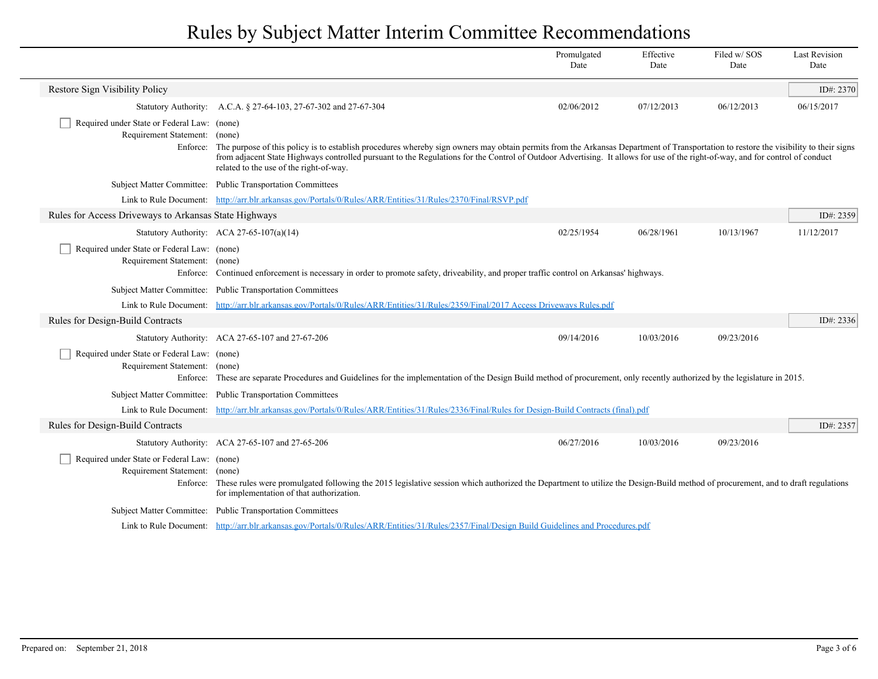|                                                                                          |                                                                                                                                                                                                                                                                                                                                                                                                                  | Promulgated<br>Date | Effective<br>Date | Filed w/SOS<br>Date | <b>Last Revision</b><br>Date |  |  |
|------------------------------------------------------------------------------------------|------------------------------------------------------------------------------------------------------------------------------------------------------------------------------------------------------------------------------------------------------------------------------------------------------------------------------------------------------------------------------------------------------------------|---------------------|-------------------|---------------------|------------------------------|--|--|
| Restore Sign Visibility Policy                                                           |                                                                                                                                                                                                                                                                                                                                                                                                                  |                     |                   |                     | ID#: 2370                    |  |  |
|                                                                                          | Statutory Authority: A.C.A. § 27-64-103, 27-67-302 and 27-67-304                                                                                                                                                                                                                                                                                                                                                 | 02/06/2012          | 07/12/2013        | 06/12/2013          | 06/15/2017                   |  |  |
| Required under State or Federal Law: (none)<br>Requirement Statement: (none)<br>Enforce: | The purpose of this policy is to establish procedures whereby sign owners may obtain permits from the Arkansas Department of Transportation to restore the visibility to their signs<br>from adjacent State Highways controlled pursuant to the Regulations for the Control of Outdoor Advertising. It allows for use of the right-of-way, and for control of conduct<br>related to the use of the right-of-way. |                     |                   |                     |                              |  |  |
|                                                                                          | Subject Matter Committee: Public Transportation Committees                                                                                                                                                                                                                                                                                                                                                       |                     |                   |                     |                              |  |  |
|                                                                                          | Link to Rule Document: http://arr.blr.arkansas.gov/Portals/0/Rules/ARR/Entities/31/Rules/2370/Final/RSVP.pdf                                                                                                                                                                                                                                                                                                     |                     |                   |                     |                              |  |  |
| Rules for Access Driveways to Arkansas State Highways                                    |                                                                                                                                                                                                                                                                                                                                                                                                                  |                     |                   |                     | ID#: 2359                    |  |  |
|                                                                                          | Statutory Authority: ACA 27-65-107(a)(14)                                                                                                                                                                                                                                                                                                                                                                        | 02/25/1954          | 06/28/1961        | 10/13/1967          | 11/12/2017                   |  |  |
| Required under State or Federal Law: (none)<br>Requirement Statement:<br>Enforce:        | (none)<br>Continued enforcement is necessary in order to promote safety, driveability, and proper traffic control on Arkansas' highways.                                                                                                                                                                                                                                                                         |                     |                   |                     |                              |  |  |
|                                                                                          | Subject Matter Committee: Public Transportation Committees                                                                                                                                                                                                                                                                                                                                                       |                     |                   |                     |                              |  |  |
|                                                                                          | Link to Rule Document: http://arr.blr.arkansas.gov/Portals/0/Rules/ARR/Entities/31/Rules/2359/Final/2017 Access Driveways Rules.pdf                                                                                                                                                                                                                                                                              |                     |                   |                     |                              |  |  |
| Rules for Design-Build Contracts                                                         |                                                                                                                                                                                                                                                                                                                                                                                                                  |                     |                   |                     | ID#: 2336                    |  |  |
|                                                                                          | Statutory Authority: ACA 27-65-107 and 27-67-206                                                                                                                                                                                                                                                                                                                                                                 | 09/14/2016          | 10/03/2016        | 09/23/2016          |                              |  |  |
| Required under State or Federal Law: (none)<br>Requirement Statement:<br>Enforce:        | (none)<br>These are separate Procedures and Guidelines for the implementation of the Design Build method of procurement, only recently authorized by the legislature in 2015.                                                                                                                                                                                                                                    |                     |                   |                     |                              |  |  |
|                                                                                          | Subject Matter Committee: Public Transportation Committees                                                                                                                                                                                                                                                                                                                                                       |                     |                   |                     |                              |  |  |
| Link to Rule Document:                                                                   | http://arr.blr.arkansas.gov/Portals/0/Rules/ARR/Entities/31/Rules/2336/Final/Rules for Design-Build Contracts (final).pdf                                                                                                                                                                                                                                                                                        |                     |                   |                     |                              |  |  |
| Rules for Design-Build Contracts                                                         |                                                                                                                                                                                                                                                                                                                                                                                                                  |                     |                   |                     | ID#: 2357                    |  |  |
|                                                                                          | Statutory Authority: ACA 27-65-107 and 27-65-206                                                                                                                                                                                                                                                                                                                                                                 | 06/27/2016          | 10/03/2016        | 09/23/2016          |                              |  |  |
| Required under State or Federal Law: (none)<br>Requirement Statement:                    | (none)<br>Enforce: These rules were promulgated following the 2015 legislative session which authorized the Department to utilize the Design-Build method of procurement, and to draft regulations<br>for implementation of that authorization.                                                                                                                                                                  |                     |                   |                     |                              |  |  |
|                                                                                          | Subject Matter Committee: Public Transportation Committees                                                                                                                                                                                                                                                                                                                                                       |                     |                   |                     |                              |  |  |
|                                                                                          | Link to Rule Document: http://arr.blr.arkansas.gov/Portals/0/Rules/ARR/Entities/31/Rules/2357/Final/Design Build Guidelines and Procedures.pdf                                                                                                                                                                                                                                                                   |                     |                   |                     |                              |  |  |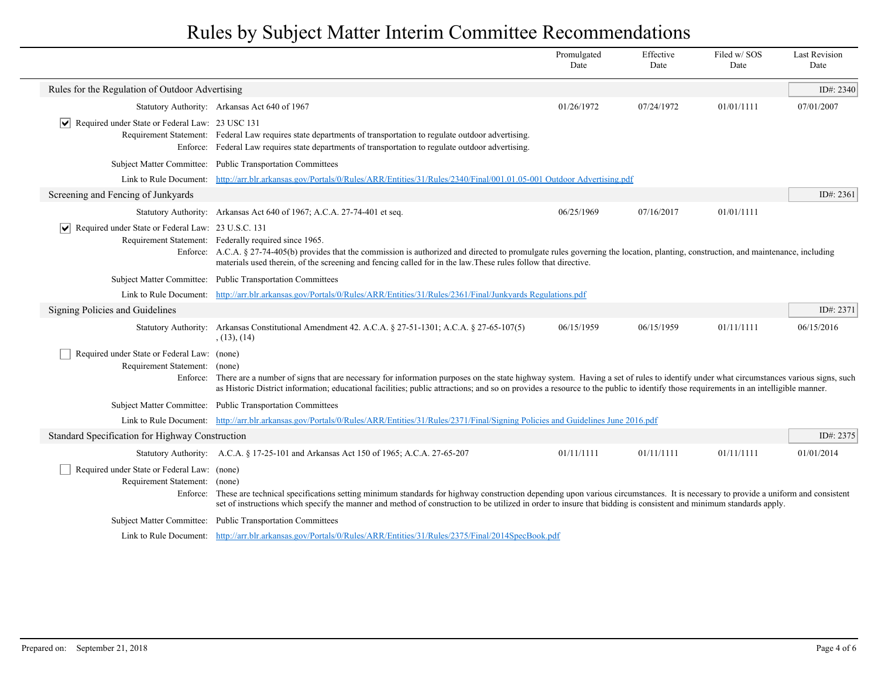|                                                                              |                                                                                                                                                                                                                                                                                                                                                                                     | Promulgated<br>Date | Effective<br>Date | Filed w/SOS<br>Date | <b>Last Revision</b><br>Date |
|------------------------------------------------------------------------------|-------------------------------------------------------------------------------------------------------------------------------------------------------------------------------------------------------------------------------------------------------------------------------------------------------------------------------------------------------------------------------------|---------------------|-------------------|---------------------|------------------------------|
| Rules for the Regulation of Outdoor Advertising                              |                                                                                                                                                                                                                                                                                                                                                                                     |                     |                   |                     | ID#: 2340                    |
|                                                                              | Statutory Authority: Arkansas Act 640 of 1967                                                                                                                                                                                                                                                                                                                                       | 01/26/1972          | 07/24/1972        | 01/01/1111          | 07/01/2007                   |
| $ \mathbf{v} $ Required under State or Federal Law: 23 USC 131               | Requirement Statement: Federal Law requires state departments of transportation to regulate outdoor advertising.<br>Enforce: Federal Law requires state departments of transportation to regulate outdoor advertising.                                                                                                                                                              |                     |                   |                     |                              |
|                                                                              | Subject Matter Committee: Public Transportation Committees                                                                                                                                                                                                                                                                                                                          |                     |                   |                     |                              |
| Link to Rule Document:                                                       | http://arr.blr.arkansas.gov/Portals/0/Rules/ARR/Entities/31/Rules/2340/Final/001.01.05-001 Outdoor Advertising.pdf                                                                                                                                                                                                                                                                  |                     |                   |                     |                              |
| Screening and Fencing of Junkyards                                           |                                                                                                                                                                                                                                                                                                                                                                                     |                     |                   |                     | ID#: $2361$                  |
|                                                                              | Statutory Authority: Arkansas Act 640 of 1967; A.C.A. 27-74-401 et seq.                                                                                                                                                                                                                                                                                                             | 06/25/1969          | 07/16/2017        | 01/01/1111          |                              |
| $ \mathbf{v} $ Required under State or Federal Law: 23 U.S.C. 131            | Requirement Statement: Federally required since 1965.<br>Enforce: A.C.A. § 27-74-405(b) provides that the commission is authorized and directed to promulgate rules governing the location, planting, construction, and maintenance, including<br>materials used therein, of the screening and fencing called for in the law. These rules follow that directive.                    |                     |                   |                     |                              |
|                                                                              | Subject Matter Committee: Public Transportation Committees                                                                                                                                                                                                                                                                                                                          |                     |                   |                     |                              |
|                                                                              | Link to Rule Document: http://arr.blr.arkansas.gov/Portals/0/Rules/ARR/Entities/31/Rules/2361/Final/Junkyards Regulations.pdf                                                                                                                                                                                                                                                       |                     |                   |                     |                              |
| Signing Policies and Guidelines                                              |                                                                                                                                                                                                                                                                                                                                                                                     |                     |                   |                     | ID#: 2371                    |
|                                                                              | Statutory Authority: Arkansas Constitutional Amendment 42. A.C.A. § 27-51-1301; A.C.A. § 27-65-107(5)<br>(13), (14)                                                                                                                                                                                                                                                                 | 06/15/1959          | 06/15/1959        | 01/11/1111          | 06/15/2016                   |
| Required under State or Federal Law: (none)<br>Requirement Statement: (none) | Enforce: There are a number of signs that are necessary for information purposes on the state highway system. Having a set of rules to identify under what circumstances various signs, such<br>as Historic District information; educational facilities; public attractions; and so on provides a resource to the public to identify those requirements in an intelligible manner. |                     |                   |                     |                              |
|                                                                              | Subject Matter Committee: Public Transportation Committees                                                                                                                                                                                                                                                                                                                          |                     |                   |                     |                              |
|                                                                              | Link to Rule Document: http://arr.blr.arkansas.gov/Portals/0/Rules/ARR/Entities/31/Rules/2371/Final/Signing Policies and Guidelines June 2016.pdf                                                                                                                                                                                                                                   |                     |                   |                     |                              |
| Standard Specification for Highway Construction                              |                                                                                                                                                                                                                                                                                                                                                                                     |                     |                   |                     | ID#: 2375                    |
|                                                                              | Statutory Authority: A.C.A. § 17-25-101 and Arkansas Act 150 of 1965; A.C.A. 27-65-207                                                                                                                                                                                                                                                                                              | 01/11/1111          | 01/11/1111        | 01/11/1111          | 01/01/2014                   |
| Required under State or Federal Law: (none)<br>Requirement Statement: (none) | Enforce: These are technical specifications setting minimum standards for highway construction depending upon various circumstances. It is necessary to provide a uniform and consistent<br>set of instructions which specify the manner and method of construction to be utilized in order to insure that bidding is consistent and minimum standards apply.                       |                     |                   |                     |                              |
|                                                                              | Subject Matter Committee: Public Transportation Committees                                                                                                                                                                                                                                                                                                                          |                     |                   |                     |                              |
|                                                                              | Link to Rule Document: http://arr.blr.arkansas.gov/Portals/0/Rules/ARR/Entities/31/Rules/2375/Final/2014SpecBook.pdf                                                                                                                                                                                                                                                                |                     |                   |                     |                              |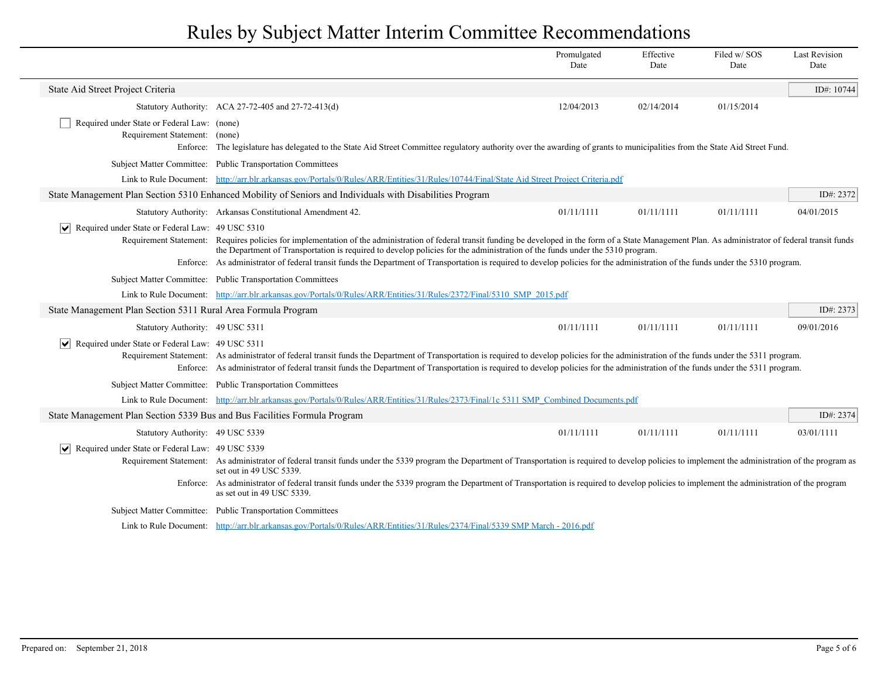|                                                                                          |                                                                                                                                                                                                                                                                                                                                                                                                                                                                                                                                | Promulgated<br>Date | Effective<br>Date | Filed w/SOS<br>Date | <b>Last Revision</b><br>Date |
|------------------------------------------------------------------------------------------|--------------------------------------------------------------------------------------------------------------------------------------------------------------------------------------------------------------------------------------------------------------------------------------------------------------------------------------------------------------------------------------------------------------------------------------------------------------------------------------------------------------------------------|---------------------|-------------------|---------------------|------------------------------|
| State Aid Street Project Criteria                                                        |                                                                                                                                                                                                                                                                                                                                                                                                                                                                                                                                |                     |                   |                     | ID#: 10744                   |
|                                                                                          | Statutory Authority: ACA 27-72-405 and 27-72-413(d)                                                                                                                                                                                                                                                                                                                                                                                                                                                                            | 12/04/2013          | 02/14/2014        | 01/15/2014          |                              |
| Required under State or Federal Law: (none)<br>Requirement Statement: (none)<br>Enforce: | The legislature has delegated to the State Aid Street Committee regulatory authority over the awarding of grants to municipalities from the State Aid Street Fund.                                                                                                                                                                                                                                                                                                                                                             |                     |                   |                     |                              |
|                                                                                          | Subject Matter Committee: Public Transportation Committees                                                                                                                                                                                                                                                                                                                                                                                                                                                                     |                     |                   |                     |                              |
|                                                                                          | Link to Rule Document: http://arr.blr.arkansas.gov/Portals/0/Rules/ARR/Entities/31/Rules/10744/Final/State Aid Street Project Criteria.pdf                                                                                                                                                                                                                                                                                                                                                                                     |                     |                   |                     |                              |
|                                                                                          | State Management Plan Section 5310 Enhanced Mobility of Seniors and Individuals with Disabilities Program                                                                                                                                                                                                                                                                                                                                                                                                                      |                     |                   |                     | ID#: 2372                    |
|                                                                                          | Statutory Authority: Arkansas Constitutional Amendment 42.                                                                                                                                                                                                                                                                                                                                                                                                                                                                     | 01/11/1111          | 01/11/1111        | 01/11/1111          | 04/01/2015                   |
| $ \mathbf{v} $ Required under State or Federal Law: 49 USC 5310                          | Requirement Statement: Requires policies for implementation of the administration of federal transit funding be developed in the form of a State Management Plan. As administrator of federal transit funds<br>the Department of Transportation is required to develop policies for the administration of the funds under the 5310 program.<br>Enforce: As administrator of federal transit funds the Department of Transportation is required to develop policies for the administration of the funds under the 5310 program. |                     |                   |                     |                              |
|                                                                                          | Subject Matter Committee: Public Transportation Committees                                                                                                                                                                                                                                                                                                                                                                                                                                                                     |                     |                   |                     |                              |
|                                                                                          | Link to Rule Document: http://arr.blr.arkansas.gov/Portals/0/Rules/ARR/Entities/31/Rules/2372/Final/5310 SMP 2015.pdf                                                                                                                                                                                                                                                                                                                                                                                                          |                     |                   |                     |                              |
| State Management Plan Section 5311 Rural Area Formula Program                            |                                                                                                                                                                                                                                                                                                                                                                                                                                                                                                                                |                     |                   |                     | ID#: 2373                    |
| Statutory Authority: 49 USC 5311                                                         |                                                                                                                                                                                                                                                                                                                                                                                                                                                                                                                                | 01/11/1111          | 01/11/1111        | 01/11/1111          | 09/01/2016                   |
| ∣V∣<br>Required under State or Federal Law: 49 USC 5311                                  | Requirement Statement: As administrator of federal transit funds the Department of Transportation is required to develop policies for the administration of the funds under the 5311 program.<br>Enforce: As administrator of federal transit funds the Department of Transportation is required to develop policies for the administration of the funds under the 5311 program.                                                                                                                                               |                     |                   |                     |                              |
|                                                                                          | Subject Matter Committee: Public Transportation Committees                                                                                                                                                                                                                                                                                                                                                                                                                                                                     |                     |                   |                     |                              |
|                                                                                          | Link to Rule Document: http://arr.blr.arkansas.gov/Portals/0/Rules/ARR/Entities/31/Rules/2373/Final/1c 5311 SMP Combined Documents.pdf                                                                                                                                                                                                                                                                                                                                                                                         |                     |                   |                     |                              |
| State Management Plan Section 5339 Bus and Bus Facilities Formula Program                |                                                                                                                                                                                                                                                                                                                                                                                                                                                                                                                                |                     |                   |                     | ID#: 2374                    |
| Statutory Authority: 49 USC 5339                                                         |                                                                                                                                                                                                                                                                                                                                                                                                                                                                                                                                | 01/11/1111          | 01/11/1111        | 01/11/1111          | 03/01/1111                   |
| Required under State or Federal Law: 49 USC 5339                                         | Requirement Statement: As administrator of federal transit funds under the 5339 program the Department of Transportation is required to develop policies to implement the administration of the program as<br>set out in 49 USC 5339.<br>Enforce: As administrator of federal transit funds under the 5339 program the Department of Transportation is required to develop policies to implement the administration of the program                                                                                             |                     |                   |                     |                              |
|                                                                                          | as set out in 49 USC 5339.                                                                                                                                                                                                                                                                                                                                                                                                                                                                                                     |                     |                   |                     |                              |
|                                                                                          | Subject Matter Committee: Public Transportation Committees                                                                                                                                                                                                                                                                                                                                                                                                                                                                     |                     |                   |                     |                              |
|                                                                                          | Link to Rule Document: http://arr.blr.arkansas.gov/Portals/0/Rules/ARR/Entities/31/Rules/2374/Final/5339 SMP March - 2016.pdf                                                                                                                                                                                                                                                                                                                                                                                                  |                     |                   |                     |                              |